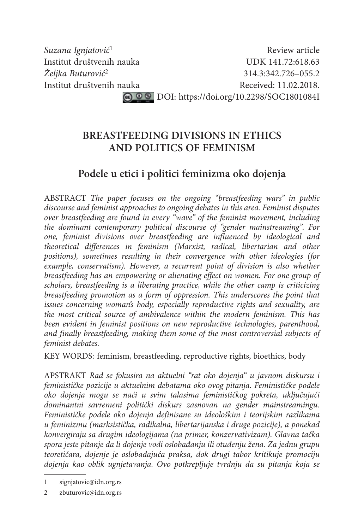*Suzana Ignjatović<sup>1</sup>* Review article Institut društvenih nauka UDK 141.72:618.63 *Željka Buturović*2 314.3:342.726–055.2 Institut društvenih nauka<br>
Received: 11.02.2018. C 0 0 DOI: https://doi.org/10.2298/SOC1801084I

> **BREASTFEEDING DIVISIONS IN ETHICS AND POLITICS OF FEMINISM**

# **Podele u etici i politici feminizma oko dojenja**

ABSTRACT *The paper focuses on the ongoing "breastfeeding wars" in public discourse and feminist approaches to ongoing debates in this area. Feminist disputes over breastfeeding are found in every "wave" of the feminist movement, including the dominant contemporary political discourse of "gender mainstreaming". For one, feminist divisions over breastfeeding are influenced by ideological and theoretical differences in feminism (Marxist, radical, libertarian and other positions), sometimes resulting in their convergence with other ideologies (for example, conservatism). However, a recurrent point of division is also whether breastfeeding has an empowering or alienating effect on women. For one group of scholars, breastfeeding is a liberating practice, while the other camp is criticizing breastfeeding promotion as a form of oppression. This underscores the point that issues concerning woman's body, especially reproductive rights and sexuality, are the most critical source of ambivalence within the modern feminism. This has been evident in feminist positions on new reproductive technologies, parenthood, and finally breastfeeding, making them some of the most controversial subjects of feminist debates.*

KEY WORDS: feminism, breastfeeding, reproductive rights, bioethics, body

APSTRAKT *Rad se fokusira na aktuelni "rat oko dojenja" u javnom diskursu i feminističke pozicije u aktuelnim debatama oko ovog pitanja. Feminističke podele*  oko dojenja mogu se naći u svim talasima feminističkog pokreta, uključujući *dominantni savremeni politički diskurs zasnovan na gender mainstreamingu. Feminističke podele oko dojenja definisane su ideološkim i teorijskim razlikama u feminizmu (marksistička, radikalna, libertarijanska i druge pozicije), a ponekad konvergiraju sa drugim ideologijama (na primer, konzervativizam). Glavna tačka spora jeste pitanje da li dojenje vodi oslobađanju ili otuđenju žena. Za jednu grupu teoretičara, dojenje je oslobađajuć a praksa, dok drugi tabor kritikuje promociju dojenja kao oblik ugnjetavanja. Ovo potkrepljuje tvrdnju da su pitanja koja se* 

<sup>1</sup> signjatovic@idn.org.rs

<sup>2</sup> zbuturovic@idn.org.rs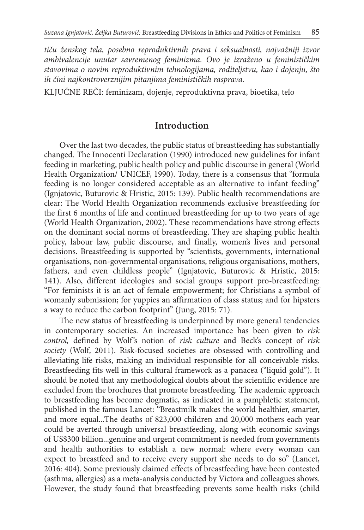*tiču ženskog tela, posebno reproduktivnih prava i seksualnosti, najvažniji izvor ambivalencije unutar savremenog feminizma. Ovo je izraženo u feminističkim stavovima o novim reproduktivnim tehnologijama, roditeljstvu, kao i dojenju, što ih čini najkontroverznijim pitanjima feminističkih rasprava.*

KLJUČNE REČI: feminizam, dojenje, reproduktivna prava, bioetika, telo

### **Introduction**

Over the last two decades, the public status of breastfeeding has substantially changed. The Innocenti Declaration (1990) introduced new guidelines for infant feeding in marketing, public health policy and public discourse in general (World Health Organization/ UNICEF, 1990). Today, there is a consensus that "formula feeding is no longer considered acceptable as an alternative to infant feeding" (Ignjatovic, Buturovic & Hristic, 2015: 139). Public health recommendations are clear: The World Health Organization recommends exclusive breastfeeding for the first 6 months of life and continued breastfeeding for up to two years of age (World Health Organization, 2002). These recommendations have strong effects on the dominant social norms of breastfeeding. They are shaping public health policy, labour law, public discourse, and finally, women's lives and personal decisions. Breastfeeding is supported by "scientists, governments, international organisations, non-governmental organisations, religious organisations, mothers, fathers, and even childless people" (Ignjatovic, Buturovic & Hristic, 2015: 141). Also, different ideologies and social groups support pro-breastfeeding: "For feminists it is an act of female empowerment; for Christians a symbol of womanly submission; for yuppies an affirmation of class status; and for hipsters a way to reduce the carbon footprint" (Jung, 2015: 71).

The new status of breastfeeding is underpinned by more general tendencies in contemporary societies. An increased importance has been given to *risk control, defined by Wolf's notion of risk culture and Beck's concept of risk society* (Wolf, 2011). Risk-focused societies are obsessed with controlling and alleviating life risks, making an individual responsible for all conceivable risks. Breastfeeding fits well in this cultural framework as a panacea ("liquid gold"). It should be noted that any methodological doubts about the scientific evidence are excluded from the brochures that promote breastfeeding. The academic approach to breastfeeding has become dogmatic, as indicated in a pamphletic statement, published in the famous Lancet: "Breastmilk makes the world healthier, smarter, and more equal...The deaths of 823,000 children and 20,000 mothers each year could be averted through universal breastfeeding, along with economic savings of US\$300 billion...genuine and urgent commitment is needed from governments and health authorities to establish a new normal: where every woman can expect to breastfeed and to receive every support she needs to do so" (Lancet, 2016: 404). Some previously claimed effects of breastfeeding have been contested (asthma, allergies) as a meta-analysis conducted by Victora and colleagues shows. However, the study found that breastfeeding prevents some health risks (child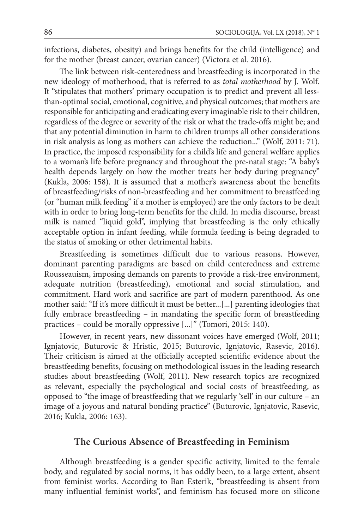infections, diabetes, obesity) and brings benefits for the child (intelligence) and for the mother (breast cancer, ovarian cancer) (Victora et al. 2016).

The link between risk-centeredness and breastfeeding is incorporated in the new ideology of motherhood, that is referred to as *total motherhood* by J. Wolf*.*  It "stipulates that mothers' primary occupation is to predict and prevent all lessthan-optimal social, emotional, cognitive, and physical outcomes; that mothers are responsible for anticipating and eradicating every imaginable risk to their children, regardless of the degree or severity of the risk or what the trade-offs might be; and that any potential diminution in harm to children trumps all other considerations in risk analysis as long as mothers can achieve the reduction..." (Wolf, 2011: 71). In practice, the imposed responsibility for a child's life and general welfare applies to a woman's life before pregnancy and throughout the pre-natal stage: "A baby's health depends largely on how the mother treats her body during pregnancy" (Kukla, 2006: 158). It is assumed that a mother's awareness about the benefits of breastfeeding/risks of non-breastfeeding and her commitment to breastfeeding (or "human milk feeding" if a mother is employed) are the only factors to be dealt with in order to bring long-term benefits for the child. In media discourse, breast milk is named "liquid gold", implying that breastfeeding is the only ethically acceptable option in infant feeding, while formula feeding is being degraded to the status of smoking or other detrimental habits.

Breastfeeding is sometimes difficult due to various reasons. However, dominant parenting paradigms are based on child centeredness and extreme Rousseauism, imposing demands on parents to provide a risk-free environment, adequate nutrition (breastfeeding), emotional and social stimulation, and commitment. Hard work and sacrifice are part of modern parenthood. As one mother said: "If it's more difficult it must be better...[...] parenting ideologies that fully embrace breastfeeding – in mandating the specific form of breastfeeding practices – could be morally oppressive [...]" (Tomori, 2015: 140).

However, in recent years, new dissonant voices have emerged (Wolf, 2011; Ignjatovic, Buturovic & Hristic, 2015; Buturovic, Ignjatovic, Rasevic, 2016). Their criticism is aimed at the officially accepted scientific evidence about the breastfeeding benefits, focusing on methodological issues in the leading research studies about breastfeeding (Wolf, 2011). New research topics are recognized as relevant, especially the psychological and social costs of breastfeeding, as opposed to "the image of breastfeeding that we regularly 'sell' in our culture – an image of a joyous and natural bonding practice" (Buturovic, Ignjatovic, Rasevic, 2016; Kukla, 2006: 163).

# **The Curious Absence of Breastfeeding in Feminism**

Although breastfeeding is a gender specific activity, limited to the female body, and regulated by social norms, it has oddly been, to a large extent, absent from feminist works. According to Ban Esterik, "breastfeeding is absent from many influential feminist works", and feminism has focused more on silicone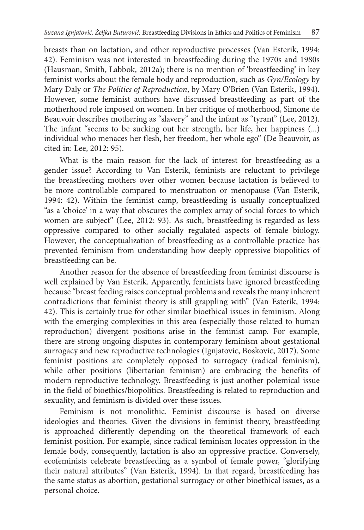breasts than on lactation, and other reproductive processes (Van Esterik, 1994: 42). Feminism was not interested in breastfeeding during the 1970s and 1980s (Hausman, Smith, Labbok, 2012a); there is no mention of 'breastfeeding' in key feminist works about the female body and reproduction, such as *Gyn/Ecology* by Mary Daly or *T he Politics of Reproduction*, by Mary O'Brien (Van Esterik, 1994). However, some feminist authors have discussed breastfeeding as part of the motherhood role imposed on women. In her critique of motherhood, Simone de Beauvoir describes mothering as "slavery" and the infant as "tyrant" (Lee, 2012). The infant "seems to be sucking out her strength, her life, her happiness (...) individual who menaces her flesh, her freedom, her whole ego" (De Beauvoir, as cited in: Lee, 2012: 95).

What is the main reason for the lack of interest for breastfeeding as a gender issue? According to Van Esterik, feminists are reluctant to privilege the breastfeeding mothers over other women because lactation is believed to be more controllable compared to menstruation or menopause (Van Esterik, 1994: 42). Within the feminist camp, breastfeeding is usually conceptualized "as a 'choice' in a way that obscures the complex array of social forces to which women are subject" (Lee, 2012: 93). As such, breastfeeding is regarded as less oppressive compared to other socially regulated aspects of female biology. However, the conceptualization of breastfeeding as a controllable practice has prevented feminism from understanding how deeply oppressive biopolitics of breastfeeding can be.

Another reason for the absence of breastfeeding from feminist discourse is well explained by Van Esterik. Apparently, feminists have ignored breastfeeding because "breast feeding raises conceptual problems and reveals the many inherent contradictions that feminist theory is still grappling with" (Van Esterik, 1994: 42). This is certainly true for other similar bioethical issues in feminism. Along with the emerging complexities in this area (especially those related to human reproduction) divergent positions arise in the feminist camp. For example, there are strong ongoing disputes in contemporary feminism about gestational surrogacy and new reproductive technologies (Ignjatovic, Boskovic, 2017). Some feminist positions are completely opposed to surrogacy (radical feminism), while other positions (libertarian feminism) are embracing the benefits of modern reproductive technology. Breastfeeding is just another polemical issue in the field of bioethics/biopolitics. Breastfeeding is related to reproduction and sexuality, and feminism is divided over these issues.

Feminism is not monolithic. Feminist discourse is based on diverse ideologies and theories. Given the divisions in feminist theory, breastfeeding is approached differently depending on the theoretical framework of each feminist position. For example, since radical feminism locates oppression in the female body, consequently, lactation is also an oppressive practice. Conversely, ecofeminists celebrate breastfeeding as a symbol of female power, "glorifying their natural attributes" (Van Esterik, 1994). In that regard, breastfeeding has the same status as abortion, gestational surrogacy or other bioethical issues, as a personal choice.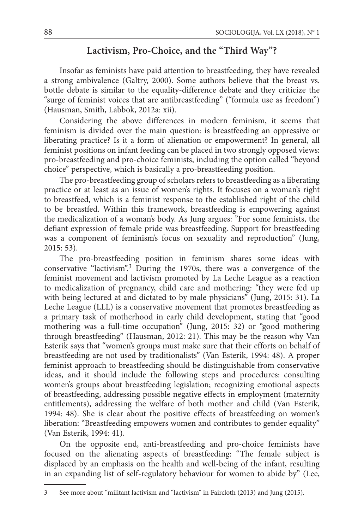# **Lactivism, Pro-Choice, and the "Third Way"?**

Insofar as feminists have paid attention to breastfeeding, they have revealed a strong ambivalence (Galtry, 2000). Some authors believe that the breast vs. bottle debate is similar to the equality-difference debate and they criticize the "surge of feminist voices that are antibreastfeeding" ("formula use as freedom") (Hausman, Smith, Labbok, 2012a: xii).

Considering the above differences in modern feminism, it seems that feminism is divided over the main question: is breastfeeding an oppressive or liberating practice? Is it a form of alienation or empowerment? In general, all feminist positions on infant feeding can be placed in two strongly opposed views: pro-breastfeeding and pro-choice feminists, including the option called "beyond choice" perspective, which is basically a pro-breastfeeding position.

The pro-breastfeeding group of scholars refers to breastfeeding as a liberating practice or at least as an issue of women's rights. It focuses on a woman's right to breastfeed, which is a feminist response to the established right of the child to be breastfed. Within this framework, breastfeeding is empowering against the medicalization of a woman's body. As Jung argues: "For some feminists, the defiant expression of female pride was breastfeeding. Support for breastfeeding was a component of feminism's focus on sexuality and reproduction" (Jung, 2015: 53).

The pro-breastfeeding position in feminism shares some ideas with conservative "lactivism".3 During the 1970s, there was a convergence of the feminist movement and lactivism promoted by La Leche League as a reaction to medicalization of pregnancy, child care and mothering: "they were fed up with being lectured at and dictated to by male physicians" (Jung, 2015: 31). La Leche League (LLL) is a conservative movement that promotes breastfeeding as a primary task of motherhood in early child development, stating that "good mothering was a full-time occupation" (Jung, 2015: 32) or "good mothering through breastfeeding" (Hausman, 2012: 21). This may be the reason why Van Esterik says that "women's groups must make sure that their efforts on behalf of breastfeeding are not used by traditionalists" (Van Esterik, 1994: 48). A proper feminist approach to breastfeeding should be distinguishable from conservative ideas, and it should include the following steps and procedures: consulting women's groups about breastfeeding legislation; recognizing emotional aspects of breastfeeding, addressing possible negative effects in employment (maternity entitlements), addressing the welfare of both mother and child (Van Esterik, 1994: 48). She is clear about the positive effects of breastfeeding on women's liberation: "Breastfeeding empowers women and contributes to gender equality" (Van Esterik, 1994: 41).

On the opposite end, anti-breastfeeding and pro-choice feminists have focused on the alienating aspects of breastfeeding: "The female subject is displaced by an emphasis on the health and well-being of the infant, resulting in an expanding list of self-regulatory behaviour for women to abide by" (Lee,

<sup>3</sup> See more about "militant lactivism and "lactivism" in Faircloth (2013) and Jung (2015).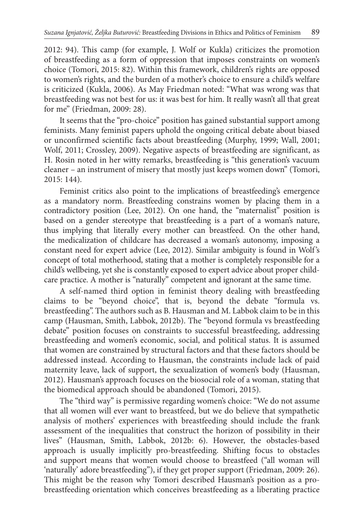2012: 94). This camp (for example, J. Wolf or Kukla) criticizes the promotion of breastfeeding as a form of oppression that imposes constraints on women's choice (Tomori, 2015: 82). Within this framework, children's rights are opposed to women's rights, and the burden of a mother's choice to ensure a child's welfare is criticized (Kukla, 2006). As May Friedman noted: "What was wrong was that breastfeeding was not best for us: it was best for him. It really wasn't all that great for me" (Friedman, 2009: 28).

It seems that the "pro-choice" position has gained substantial support among feminists. Many feminist papers uphold the ongoing critical debate about biased or unconfirmed scientific facts about breastfeeding (Murphy, 1999; Wall, 2001; Wolf, 2011; Crossley, 2009). Negative aspects of breastfeeding are significant, as H. Rosin noted in her witty remarks, breastfeeding is "this generation's vacuum cleaner – an instrument of misery that mostly just keeps women down" (Tomori, 2015: 144).

Feminist critics also point to the implications of breastfeeding's emergence as a mandatory norm. Breastfeeding constrains women by placing them in a contradictory position (Lee, 2012). On one hand, the "maternalist" position is based on a gender stereotype that breastfeeding is a part of a woman's nature, thus implying that literally every mother can breastfeed. On the other hand, the medicalization of childcare has decreased a woman's autonomy, imposing a constant need for expert advice (Lee, 2012). Similar ambiguity is found in Wolf's concept of total motherhood, stating that a mother is completely responsible for a child's wellbeing, yet she is constantly exposed to expert advice about proper childcare practice. A mother is "naturally" competent and ignorant at the same time.

A self-named third option in feminist theory dealing with breastfeeding claims to be "beyond choice", that is, beyond the debate "formula vs. breastfeeding". The authors such as B. Hausman and M. Labbok claim to be in this camp (Hausman, Smith, Labbok, 2012b). The "beyond formula vs breastfeeding debate" position focuses on constraints to successful breastfeeding, addressing breastfeeding and women's economic, social, and political status. It is assumed that women are constrained by structural factors and that these factors should be addressed instead. According to Hausman, the constraints include lack of paid maternity leave, lack of support, the sexualization of women's body (Hausman, 2012). Hausman's approach focuses on the biosocial role of a woman, stating that the biomedical approach should be abandoned (Tomori, 2015).

The "third way" is permissive regarding women's choice: "We do not assume that all women will ever want to breastfeed, but we do believe that sympathetic analysis of mothers' experiences with breastfeeding should include the frank assessment of the inequalities that construct the horizon of possibility in their lives" (Hausman, Smith, Labbok, 2012b: 6). However, the obstacles-based approach is usually implicitly pro-breastfeeding. Shifting focus to obstacles and support means that women would choose to breastfeed ("all woman will 'naturally' adore breastfeeding"), if they get proper support (Friedman, 2009: 26). This might be the reason why Tomori described Hausman's position as a probreastfeeding orientation which conceives breastfeeding as a liberating practice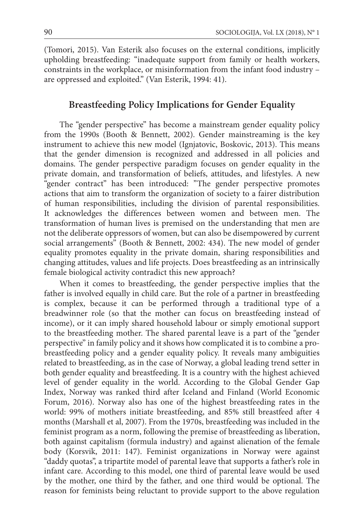(Tomori, 2015). Van Esterik also focuses on the external conditions, implicitly upholding breastfeeding: "inadequate support from family or health workers, constraints in the workplace, or misinformation from the infant food industry – are oppressed and exploited." (Van Esterik, 1994: 41).

#### **Breastfeeding Policy Implications for Gender Equality**

The "gender perspective" has become a mainstream gender equality policy from the 1990s (Booth & Bennett, 2002). Gender mainstreaming is the key instrument to achieve this new model (Ignjatovic, Boskovic, 2013). This means that the gender dimension is recognized and addressed in all policies and domains. The gender perspective paradigm focuses on gender equality in the private domain, and transformation of beliefs, attitudes, and lifestyles. A new "gender contract" has been introduced: "The gender perspective promotes actions that aim to transform the organization of society to a fairer distribution of human responsibilities, including the division of parental responsibilities. It acknowledges the differences between women and between men. The transformation of human lives is premised on the understanding that men are not the deliberate oppressors of women, but can also be disempowered by current social arrangements" (Booth & Bennett, 2002: 434). The new model of gender equality promotes equality in the private domain, sharing responsibilities and changing attitudes, values and life projects. Does breastfeeding as an intrinsically female biological activity contradict this new approach?

When it comes to breastfeeding, the gender perspective implies that the father is involved equally in child care. But the role of a partner in breastfeeding is complex, because it can be performed through a traditional type of a breadwinner role (so that the mother can focus on breastfeeding instead of income), or it can imply shared household labour or simply emotional support to the breastfeeding mother. The shared parental leave is a part of the "gender perspective" in family policy and it shows how complicated it is to combine a probreastfeeding policy and a gender equality policy. It reveals many ambiguities related to breastfeeding, as in the case of Norway, a global leading trend setter in both gender equality and breastfeeding. It is a country with the highest achieved level of gender equality in the world. According to the Global Gender Gap Index, Norway was ranked third after Iceland and Finland (World Economic Forum, 2016). Norway also has one of the highest breastfeeding rates in the world: 99% of mothers initiate breastfeeding, and 85% still breastfeed after 4 months (Marshall et al, 2007). From the 1970s, breastfeeding was included in the feminist program as a norm, following the premise of breastfeeding as liberation, both against capitalism (formula industry) and against alienation of the female body (Korsvik, 2011: 147). Feminist organizations in Norway were against "daddy quotas", a tripartite model of parental leave that supports a father's role in infant care. According to this model, one third of parental leave would be used by the mother, one third by the father, and one third would be optional. The reason for feminists being reluctant to provide support to the above regulation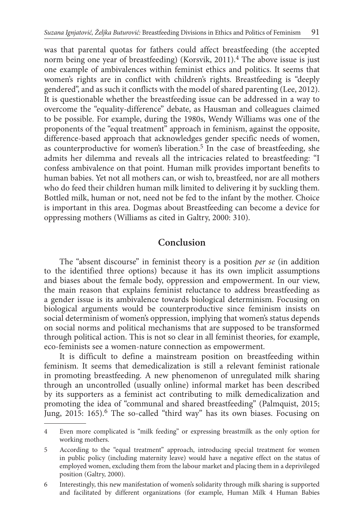was that parental quotas for fathers could affect breastfeeding (the accepted norm being one year of breastfeeding) (Korsvik, 2011).<sup>4</sup> The above issue is just one example of ambivalences within feminist ethics and politics. It seems that women's rights are in conflict with children's rights. Breastfeeding is "deeply gendered", and as such it conflicts with the model of shared parenting (Lee, 2012). It is questionable whether the breastfeeding issue can be addressed in a way to overcome the "equality-difference" debate, as Hausman and colleagues claimed to be possible. For example, during the 1980s, Wendy Williams was one of the proponents of the "equal treatment" approach in feminism, against the opposite, difference-based approach that acknowledges gender specific needs of women, as counterproductive for women's liberation.<sup>5</sup> In the case of breastfeeding, she admits her dilemma and reveals all the intricacies related to breastfeeding: "I confess ambivalence on that point. Human milk provides important benefits to human babies. Yet not all mothers can, or wish to, breastfeed, nor are all mothers who do feed their children human milk limited to delivering it by suckling them. Bottled milk, human or not, need not be fed to the infant by the mother. Choice is important in this area. Dogmas about Breastfeeding can become a device for oppressing mothers (Williams as cited in Galtry, 2000: 310).

# **Conclusion**

The "absent discourse" in feminist theory is a position *per se* (in addition to the identified three options) because it has its own implicit assumptions and biases about the female body, oppression and empowerment. In our view, the main reason that explains feminist reluctance to address breastfeeding as a gender issue is its ambivalence towards biological determinism. Focusing on biological arguments would be counterproductive since feminism insists on social determinism of women's oppression, implying that women's status depends on social norms and political mechanisms that are supposed to be transformed through political action. This is not so clear in all feminist theories, for example, eco-feminists see a women-nature connection as empowerment.

It is difficult to define a mainstream position on breastfeeding within feminism. It seems that demedicalization is still a relevant feminist rationale in promoting breastfeeding. A new phenomenon of unregulated milk sharing through an uncontrolled (usually online) informal market has been described by its supporters as a feminist act contributing to milk demedicalization and promoting the idea of "communal and shared breastfeeding" (Palmquist, 2015; Jung, 2015: 165).<sup>6</sup> The so-called "third way" has its own biases. Focusing on

<sup>4</sup> Even more complicated is "milk feeding" or expressing breastmilk as the only option for working mothers.

<sup>5</sup> According to the "equal treatment" approach, introducing special treatment for women in public policy (including maternity leave) would have a negative effect on the status of employed women, excluding them from the labour market and placing them in a deprivileged position (Galtry, 2000).

<sup>6</sup> Interestingly, this new manifestation of women's solidarity through milk sharing is supported and facilitated by different organizations (for example, Human Milk 4 Human Babies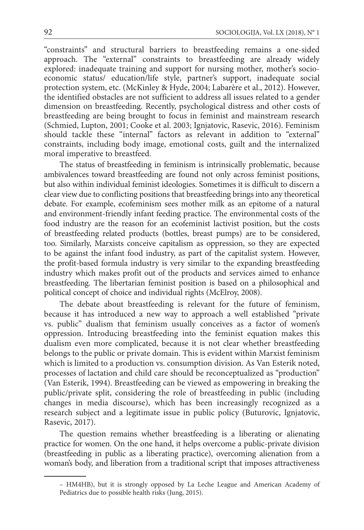"constraints" and structural barriers to breastfeeding remains a one-sided approach. The "external" constraints to breastfeeding are already widely explored: inadequate training and support for nursing mother, mother's socioeconomic status/ education/life style, partner's support, inadequate social protection system, etc. (McKinley & Hyde, 2004; Labarère et al., 2012). However, the identified obstacles are not sufficient to address all issues related to a gender dimension on breastfeeding. Recently, psychological distress and other costs of breastfeeding are being brought to focus in feminist and mainstream research (Schmied, Lupton, 2001; Cooke et al. 2003; Ignjatovic, Rasevic, 2016). Feminism should tackle these "internal" factors as relevant in addition to "external" constraints, including body image, emotional costs, guilt and the internalized moral imperative to breastfeed.

The status of breastfeeding in feminism is intrinsically problematic, because ambivalences toward breastfeeding are found not only across feminist positions, but also within individual feminist ideologies. Sometimes it is difficult to discern a clear view due to conflicting positions that breastfeeding brings into any theoretical debate. For example, ecofeminism sees mother milk as an epitome of a natural and environment-friendly infant feeding practice. The environmental costs of the food industry are the reason for an ecofeminist lactivist position, but the costs of breastfeeding related products (bottles, breast pumps) are to be considered, too. Similarly, Marxists conceive capitalism as oppression, so they are expected to be against the infant food industry, as part of the capitalist system. However, the profit-based formula industry is very similar to the expanding breastfeeding industry which makes profit out of the products and services aimed to enhance breastfeeding. The libertarian feminist position is based on a philosophical and political concept of choice and individual rights (McElroy, 2008).

The debate about breastfeeding is relevant for the future of feminism, because it has introduced a new way to approach a well established "private vs. public" dualism that feminism usually conceives as a factor of women's oppression. Introducing breastfeeding into the feminist equation makes this dualism even more complicated, because it is not clear whether breastfeeding belongs to the public or private domain. This is evident within Marxist feminism which is limited to a production vs. consumption division. As Van Esterik noted, processes of lactation and child care should be reconceptualized as "production" (Van Esterik, 1994). Breastfeeding can be viewed as empowering in breaking the public/private split, considering the role of breastfeeding in public (including changes in media discourse), which has been increasingly recognized as a research subject and a legitimate issue in public policy (Buturovic, Ignjatovic, Rasevic, 2017).

The question remains whether breastfeeding is a liberating or alienating practice for women. On the one hand, it helps overcome a public-private division (breastfeeding in public as a liberating practice), overcoming alienation from a woman's body, and liberation from a traditional script that imposes attractiveness

<sup>–</sup> HM4HB), but it is strongly opposed by La Leche League and American Academy of Pediatrics due to possible health risks (Jung, 2015).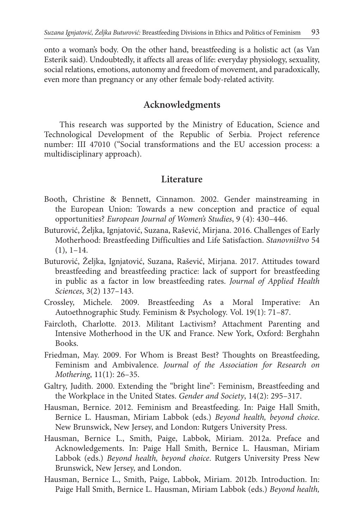onto a woman's body. On the other hand, breastfeeding is a holistic act (as Van Esterik said). Undoubtedly, it affects all areas of life: everyday physiology, sexuality, social relations, emotions, autonomy and freedom of movement, and paradoxically, even more than pregnancy or any other female body-related activity.

# **Acknowledgments**

This research was supported by the Ministry of Education, Science and Technological Development of the Republic of Serbia. Project reference number: III 47010 ("Social transformations and the EU accession process: a multidisciplinary approach).

### **Literature**

- Booth, Christine & Bennett, Cinnamon. 2002. Gender mainstreaming in the European Union: Towards a new conception and practice of equal opportunities? *European Journal of Women's Studies*, 9 (4): 430–446.
- Buturović, Željka, Ignjatović, Suzana, Rašević, Mirjana. 2016. Challenges of Early Motherhood: Breastfeeding Difficulties and Life Satisfaction. *Stanovništvo* 54  $(1), 1-14.$
- Buturović, Željka, Ignjatović, Suzana, Rašević, Mirjana. 2017. Attitudes toward breastfeeding and breastfeeding practice: lack of support for breastfeeding in public as a factor in low breastfeeding rates. *Journal of Applied Health Sciences*, 3(2) 137–143.
- Crossley, Michele. 2009. Breastfeeding As a Moral Imperative: An Autoethnographic Study. Feminism & Psychology. Vol. 19(1): 71–87.
- Faircloth, Charlotte. 2013. Militant Lactivism? Attachment Parenting and Intensive Motherhood in the UK and France. New York, Oxford: Berghahn Books.
- Friedman, May. 2009. For Whom is Breast Best? Thoughts on Breastfeeding, Feminism and Ambivalence. *Journal of the Association for Research on Mothering*, 11(1): 26–35.
- Galtry, Judith. 2000. Extending the "bright line": Feminism, Breastfeeding and the Workplace in the United States. *Gender and Society*, 14(2): 295–317.
- Hausman, Bernice. 2012. Feminism and Breastfeeding. In: Paige Hall Smith, Bernice L. Hausman, Miriam Labbok (eds.) *Beyond health, beyond choice*. New Brunswick, New Jersey, and London: Rutgers University Press.
- Hausman, Bernice L., Smith, Paige, Labbok, Miriam. 2012a. Preface and Acknowledgements. In: Paige Hall Smith, Bernice L. Hausman, Miriam Labbok (eds.) *Beyond health, beyond choice*. Rutgers University Press New Brunswick, New Jersey, and London.
- Hausman, Bernice L., Smith, Paige, Labbok, Miriam. 2012b. Introduction. In: Paige Hall Smith, Bernice L. Hausman, Miriam Labbok (eds.) *Beyond health,*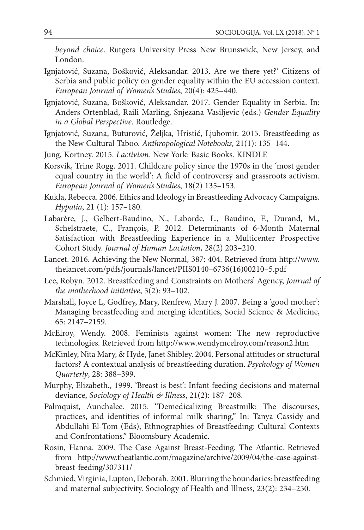*beyond choice*. Rutgers University Press New Brunswick, New Jersey, and London.

- Ignjatović, Suzana, Bošković, Aleksandar. 2013. Are we there yet?' Citizens of Serbia and public policy on gender equality within the EU accession context. *European Journal of Women's Studies*, 20(4): 425–440.
- Ignjatović, Suzana, Bošković, Aleksandar. 2017. Gender Equality in Serbia. In: Anders Ortenblad, Raili Marling, Snjezana Vasiljevic (eds.) *Gender Equality in a Global Perspective*. Routledge.
- Ignjatović, Suzana, Buturović, Željka, Hristić, Ljubomir. 2015. Breastfeeding as the New Cultural Taboo. *Anthropological Notebooks*, 21(1): 135–144.
- Jung, Kortney. 2015. *Lactivism*. New York: Basic Books. KINDLE
- Korsvik, Trine Rogg. 2011. Childcare policy since the 1970s in the 'most gender equal country in the world': A field of controversy and grassroots activism. *European Journal of Women's Studies*, 18(2) 135–153.
- Kukla, Rebecca. 2006. Ethics and Ideology in Breastfeeding Advocacy Campaigns. *Hypatia*, 21 (1): 157–180.
- Labarère, J., Gelbert-Baudino, N., Laborde, L., Baudino, F., Durand, M., Schelstraete, C., François, P. 2012. Determinants of 6-Month Maternal Satisfaction with Breastfeeding Experience in a Multicenter Prospective Cohort Study. *Journal of Human Lactation*, 28(2) 203–210.
- Lancet. 2016. Achieving the New Normal, 387: 404. Retrieved from http://www. thelancet.com/pdfs/journals/lancet/PIIS0140–6736(16)00210–5.pdf
- Lee, Robyn. 2012. Breastfeeding and Constraints on Mothers' Agency, *Journal of the motherhood initiative*, 3(2): 93–102.
- Marshall, Joyce L, Godfrey, Mary, Renfrew, Mary J. 2007. Being a 'good mother': Managing breastfeeding and merging identities, Social Science & Medicine, 65: 2147–2159.
- McElroy, Wendy. 2008. Feminists against women: The new reproductive technologies. Retrieved from http://www.wendymcelroy.com/reason2.htm
- McKinley, Nita Mary, & Hyde, Janet Shibley. 2004. Personal attitudes or structural factors? A contextual analysis of breastfeeding duration. *Psychology of Women Quarterly*, 28: 388–399.
- Murphy, Elizabeth., 1999. 'Breast is best': Infant feeding decisions and maternal deviance, *Sociology of Health & Illness*, 21(2): 187–208.
- Palmquist, Aunchalee. 2015. "Demedicalizing Breastmilk: The discourses, practices, and identities of informal milk sharing," In: Tanya Cassidy and Abdullahi El-Tom (Eds), Ethnographies of Breastfeeding: Cultural Contexts and Confrontations." Bloomsbury Academic.
- Rosin, Hanna. 2009. The Case Against Breast-Feeding. The Atlantic. Retrieved from http://www.theatlantic.com/magazine/archive/2009/04/the-case-againstbreast-feeding/307311/
- Schmied, Virginia, Lupton, Deborah. 2001. Blurring the boundaries: breastfeeding and maternal subjectivity. Sociology of Health and Illness, 23(2): 234–250.